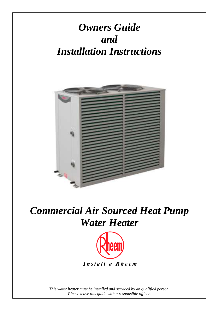# *Owners Guide and Installation Instructions*



# *Commercial Air Sourced Heat Pump Water Heater*



*This water heater must be installed and serviced by an qualified person. Please leave this guide with a responsible officer.*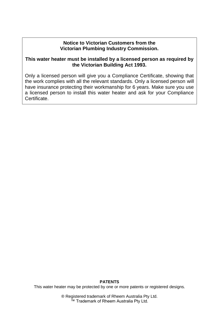### **Notice to Victorian Customers from the Victorian Plumbing Industry Commission.**

### **This water heater must be installed by a licensed person as required by the Victorian Building Act 1993.**

Only a licensed person will give you a Compliance Certificate, showing that the work complies with all the relevant standards. Only a licensed person will have insurance protecting their workmanship for 6 years. Make sure you use a licensed person to install this water heater and ask for your Compliance Certificate.

#### **PATENTS**

This water heater may be protected by one or more patents or registered designs.

® Registered trademark of Rheem Australia Pty Ltd. ™ Trademark of Rheem Australia Pty Ltd.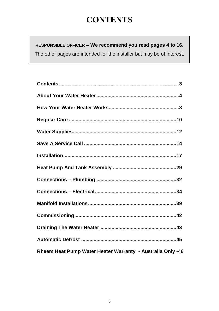## **CONTENTS**

<span id="page-2-0"></span>**RESPONSIBLE OFFICER – We recommend you read pages [4](#page-3-0) to [16.](#page-15-0)** The other pages are intended for the installer but may be of interest.

| Rheem Heat Pump Water Heater Warranty - Australia Only -46 |
|------------------------------------------------------------|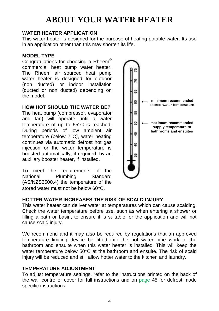### <span id="page-3-0"></span>**WATER HEATER APPLICATION**

This water heater is designed for the purpose of heating potable water. Its use in an application other than this may shorten its life.

### **MODEL TYPE**

Congratulations for choosing a Rheem<sup>®</sup> commercial heat pump water heater. The Rheem air sourced heat pump water heater is designed for outdoor (non ducted) or indoor installation (ducted or non ducted) depending on the model.

### **HOW HOT SHOULD THE WATER BE?**

The heat pump (compressor, evaporator and fan) will operate until a water temperature of up to 65°C is reached. During periods of low ambient air temperature (below  $7^{\circ}$ C), water heating continues via automatic defrost hot gas injection or the water temperature is boosted automatically, if required, by an auxiliary booster heater, if installed.

To meet the requirements of the National Plumbing Standard (AS/NZS3500.4) the temperature of the stored water must not be below 60°C.



### **HOTTER WATER INCREASES THE RISK OF SCALD INJURY**

This water heater can deliver water at temperatures which can cause scalding. Check the water temperature before use, such as when entering a shower or filling a bath or basin, to ensure it is suitable for the application and will not cause scald injury.

We recommend and it may also be required by regulations that an approved temperature limiting device be fitted into the hot water pipe work to the bathroom and ensuite when this water heater is installed. This will keep the water temperature below  $50^{\circ}$ C at the bathroom and ensuite. The risk of scald injury will be reduced and still allow hotter water to the kitchen and laundry.

### **TEMPERATURE ADJUSTMENT**

To adjust temperature settings, refer to the instructions printed on the back of the wall controller cover for full instructions and on [page 45](#page-44-1) for defrost mode specific instructions.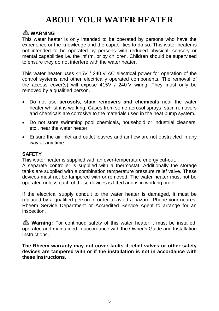### **WARNING**

This water heater is only intended to be operated by persons who have the experience or the knowledge and the capabilities to do so. This water heater is not intended to be operated by persons with reduced physical, sensory or mental capabilities i.e. the infirm, or by children. Children should be supervised to ensure they do not interfere with the water heater.

This water heater uses 415V / 240 V AC electrical power for operation of the control systems and other electrically operated components. The removal of the access cover(s) will expose 415V / 240 V wiring. They must only be removed by a qualified person.

- Do not use **aerosols, stain removers and chemicals** near the water heater whilst it is working. Gases from some aerosol sprays, stain removers and chemicals are corrosive to the materials used in the heat pump system.
- Do not store swimming pool chemicals, household or industrial cleaners, etc., near the water heater.
- Ensure the air inlet and outlet louvres and air flow are not obstructed in any way at any time.

### **SAFETY**

This water heater is supplied with an over-temperature energy cut-out.

A separate controller is supplied with a thermostat. Additionally the storage tanks are supplied with a combination temperature pressure relief valve. These devices must not be tampered with or removed. The water heater must not be operated unless each of these devices is fitted and is in working order.

If the electrical supply conduit to the water heater is damaged, it must be replaced by a qualified person in order to avoid a hazard. Phone your nearest Rheem Service Department or Accredited Service Agent to arrange for an inspection.

**Warning:** For continued safety of this water heater it must be installed, operated and maintained in accordance with the Owner's Guide and Installation Instructions.

**The Rheem warranty may not cover faults if relief valves or other safety devices are tampered with or if the installation is not in accordance with these instructions.**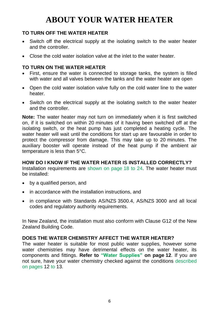### **TO TURN OFF THE WATER HEATER**

- Switch off the electrical supply at the isolating switch to the water heater and the controller.
- Close the cold water isolation valve at the inlet to the water heater.

### **TO TURN ON THE WATER HEATER**

- First, ensure the water is connected to storage tanks, the system is filled with water and all valves between the tanks and the water heater are open
- Open the cold water isolation valve fully on the cold water line to the water heater.
- Switch on the electrical supply at the isolating switch to the water heater and the controller.

**Note:** The water heater may not turn on immediately when it is first switched on, if it is switched on within 20 minutes of it having been switched off at the isolating switch, or the heat pump has just completed a heating cycle. The water heater will wait until the conditions for start up are favourable in order to protect the compressor from damage. This may take up to 20 minutes. The auxiliary booster will operate instead of the heat pump if the ambient air temperature is less than 5°C.

### **HOW DO I KNOW IF THE WATER HEATER IS INSTALLED CORRECTLY?**

Installation requirements are [shown on page](#page-21-0) 18 to 24. The water heater must be installed:

- by a qualified person, and
- in accordance with the installation instructions, and
- in compliance with Standards AS/NZS 3500.4, AS/NZS 3000 and all local codes and regulatory authority requirements.

In New Zealand, the installation must also conform with Clause G12 of the New Zealand Building Code.

### **DOES THE WATER CHEMISTRY AFFECT THE WATER HEATER?**

The water heater is suitable for most public water supplies, however some water chemistries may have detrimental effects on the water heater, its components and fittings. **Refer to ["Water Supplies"](#page-11-1) on page [12](#page-11-1)**. If you are not sure, have your water chemistry checked against the conditions [described](#page-11-1)  [on pages](#page-11-1) [12](#page-11-1) [to](#page-12-0) [13.](#page-12-0)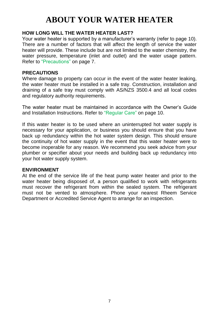### **HOW LONG WILL THE WATER HEATER LAST?**

Your water heater is supported by a manufacturer's warranty (refer to page [10\)](#page-9-1). There are a number of factors that will affect the length of service the water heater will provide. These include but are not limited to the water chemistry, the water pressure, temperature (inlet and outlet) and the water usage pattern. Refer to ["Precautions"](#page-6-0) on page [7.](#page-6-0)

### <span id="page-6-0"></span>**PRECAUTIONS**

Where damage to property can occur in the event of the water heater leaking, the water heater must be installed in a safe tray. Construction, installation and draining of a safe tray must comply with AS/NZS 3500.4 and all local codes and regulatory authority requirements.

The water heater must be maintained in accordance with the Owner's Guide and Installation Instructions. Refer to ["Regular Care"](#page-9-0) on page [10.](#page-9-0)

If this water heater is to be used where an uninterrupted hot water supply is necessary for your application, or business you should ensure that you have back up redundancy within the hot water system design. This should ensure the continuity of hot water supply in the event that this water heater were to become inoperable for any reason. We recommend you seek advice from your plumber or specifier about your needs and building back up redundancy into your hot water supply system.

### **ENVIRONMENT**

At the end of the service life of the heat pump water heater and prior to the water heater being disposed of, a person qualified to work with refrigerants must recover the refrigerant from within the sealed system. The refrigerant must not be vented to atmosphere. Phone your nearest Rheem Service Department or Accredited Service Agent to arrange for an inspection.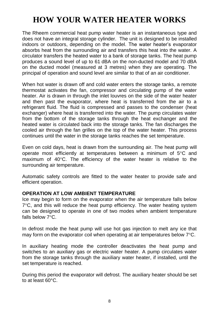## <span id="page-7-0"></span>**HOW YOUR WATER HEATER WORKS**

The Rheem commercial heat pump water heater is an instantaneous type and does not have an integral storage cylinder. The unit is designed to be installed indoors or outdoors, depending on the model. The water heater's evaporator absorbs heat from the surrounding air and transfers this heat into the water. A circulator transfers the heated water to a bank of storage tanks. The heat pump produces a sound level of up to 61 dBA on the non-ducted model and 70 dBA on the ducted model (measured at 3 metres) when they are operating. The principal of operation and sound level are similar to that of an air conditioner.

When hot water is drawn off and cold water enters the storage tanks, a remote thermostat activates the fan, compressor and circulating pump of the water heater. Air is drawn in through the inlet louvres on the side of the water heater and then past the evaporator, where heat is transferred from the air to a refrigerant fluid. The fluid is compressed and passes to the condenser (heat exchanger) where heat is transferred into the water. The pump circulates water from the bottom of the storage tanks through the heat exchanger and the heated water is circulated back into the storage tanks. The fan discharges the cooled air through the fan grilles on the top of the water heater. This process continues until the water in the storage tanks reaches the set temperature.

Even on cold days, heat is drawn from the surrounding air. The heat pump will operate most efficiently at temperatures between a minimum of  $5^{\circ}$ C and maximum of  $40^{\circ}$ C. The efficiency of the water heater is relative to the surrounding air temperature.

Automatic safety controls are fitted to the water heater to provide safe and efficient operation.

### **OPERATION AT LOW AMBIENT TEMPERATURE**

Ice may begin to form on the evaporator when the air temperature falls below  $7^{\circ}$ C, and this will reduce the heat pump efficiency. The water heating system can be designed to operate in one of two modes when ambient temperature falls below  $7^{\circ}$ C.

In defrost mode the heat pump will use hot gas injection to melt any ice that may form on the evaporator coil when operating at air temperatures below  $7^{\circ}$ C.

In auxiliary heating mode the controller deactivates the heat pump and switches to an auxiliary gas or electric water heater. A pump circulates water from the storage tanks through the auxiliary water heater, if installed, until the set temperature is reached.

During this period the evaporator will defrost. The auxiliary heater should be set to at least 60°C.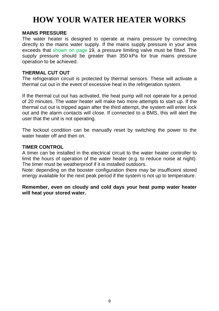## **HOW YOUR WATER HEATER WORKS**

### **MAINS PRESSURE**

The water heater is designed to operate at mains pressure by connecting directly to the mains water supply. If the mains supply pressure in your area exceeds that [shown on page](#page-18-0) [19,](#page-18-0) a pressure limiting valve must be fitted. The supply pressure should be greater than 350 kPa for true mains pressure operation to be achieved.

### **THERMAL CUT OUT**

The refrigeration circuit is protected by thermal sensors. These will activate a thermal cut out in the event of excessive heat in the refrigeration system.

If the thermal cut out has activated, the heat pump will not operate for a period of 20 minutes. The water heater will make two more attempts to start up. If the thermal cut out is tripped again after the third attempt, the system will enter lock out and the alarm contacts will close. If connected to a BMS, this will alert the user that the unit is not operating.

The lockout condition can be manually reset by switching the power to the water heater off and then on

### **TIMER CONTROL**

A timer can be installed in the electrical circuit to the water heater controller to limit the hours of operation of the water heater (e.g. to reduce noise at night). The timer must be weatherproof if it is installed outdoors.

Note: depending on the booster configuration there may be insufficient stored energy available for the next peak period if the system is not up to temperature.

**Remember, even on cloudy and cold days your heat pump water heater will heat your stored water.**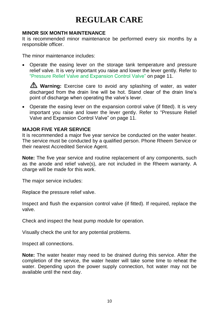## **REGULAR CARE**

### <span id="page-9-0"></span>**MINOR SIX MONTH MAINTENANCE**

It is recommended minor maintenance be performed every six months by a responsible officer.

The minor maintenance includes:

 Operate the easing lever on the storage tank temperature and pressure relief valve. It is very important you raise and lower the lever gently. Refer to ["Pressure Relief Valve and Expansion Control Valve"](#page-10-0) on page [11.](#page-10-0)

**Warning:** Exercise care to avoid any splashing of water, as water discharged from the drain line will be hot. Stand clear of the drain line's point of discharge when operating the valve's lever.

 Operate the easing lever on the expansion control valve (if fitted). It is very important you raise and lower the lever gently. Refer to "Pressure Relief Valve and Expansion Control Valve" on page [11.](#page-10-0)

### <span id="page-9-1"></span>**MAJOR FIVE YEAR SERVICE**

It is recommended a major five year service be conducted on the water heater. The service must be conducted by a qualified person. Phone Rheem Service or their nearest Accredited Service Agent.

**Note:** The five year service and routine replacement of any components, such as the anode and relief valve(s), are not included in the Rheem warranty. A charge will be made for this work.

The major service includes:

Replace the pressure relief valve.

Inspect and flush the expansion control valve (if fitted). If required, replace the valve.

Check and inspect the heat pump module for operation.

Visually check the unit for any potential problems.

Inspect all connections.

**Note:** The water heater may need to be drained during this service. After the completion of the service, the water heater will take some time to reheat the water. Depending upon the power supply connection, hot water may not be available until the next day.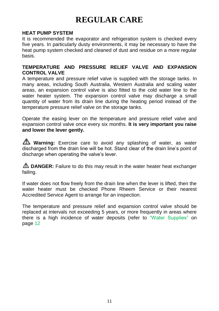## **REGULAR CARE**

### **HEAT PUMP SYSTEM**

It is recommended the evaporator and refrigeration system is checked every five years. In particularly dusty environments, it may be necessary to have the heat pump system checked and cleaned of dust and residue on a more regular basis.

### <span id="page-10-0"></span>**TEMPERATURE AND PRESSURE RELIEF VALVE AND EXPANSION CONTROL VALVE**

A temperature and pressure relief valve is supplied with the storage tanks. In many areas, including South Australia, Western Australia and scaling water areas, an expansion control valve is also fitted to the cold water line to the water heater system. The expansion control valve may discharge a small quantity of water from its drain line during the heating period instead of the temperature pressure relief valve on the storage tanks.

Operate the easing lever on the temperature and pressure relief valve and expansion control valve once every six months. **It is very important you raise and lower the lever gently.** 

**Warning:** Exercise care to avoid any splashing of water, as water discharged from the drain line will be hot. Stand clear of the drain line's point of discharge when operating the valve's lever.

**LA DANGER:** Failure to do this may result in the water heater heat exchanger failing.

If water does not flow freely from the drain line when the lever is lifted, then the water heater must be checked Phone Rheem Service or their nearest Accredited Service Agent to arrange for an inspection.

The temperature and pressure relief and expansion control valve should be replaced at intervals not exceeding 5 years, or more frequently in areas where there is a high incidence of water deposits (refer to ["Water Supplies"](#page-11-1) on page [12](#page-11-1)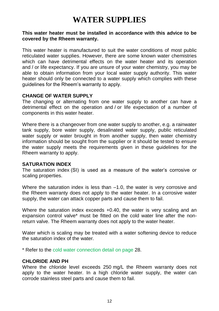## **WATER SUPPLIES**

### <span id="page-11-1"></span><span id="page-11-0"></span>**This water heater must be installed in accordance with this advice to be covered by the Rheem warranty.**

This water heater is manufactured to suit the water conditions of most public reticulated water supplies. However, there are some known water chemistries which can have detrimental effects on the water heater and its operation and / or life expectancy. If you are unsure of your water chemistry, you may be able to obtain information from your local water supply authority. This water heater should only be connected to a water supply which complies with these guidelines for the Rheem's warranty to apply.

### **CHANGE OF WATER SUPPLY**

The changing or alternating from one water supply to another can have a detrimental effect on the operation and / or life expectation of a number of components in this water heater.

Where there is a changeover from one water supply to another, e.g. a rainwater tank supply, bore water supply, desalinated water supply, public reticulated water supply or water brought in from another supply, then water chemistry information should be sought from the supplier or it should be tested to ensure the water supply meets the requirements given in these guidelines for the Rheem warranty to apply.

### **SATURATION INDEX**

The saturation index (SI) is used as a measure of the water's corrosive or scaling properties.

Where the saturation index is less than  $-1.0$ , the water is very corrosive and the Rheem warranty does not apply to the water heater. In a corrosive water supply, the water can attack copper parts and cause them to fail.

Where the saturation index exceeds +0.40, the water is very scaling and an expansion control valve\* must be fitted on the cold water line after the nonreturn valve. The Rheem warranty does not apply to the water heater.

Water which is scaling may be treated with a water softening device to reduce the saturation index of the water.

\* Refer to the [cold water connection detail on](#page-31-1) page 28.

### **CHLORIDE AND PH**

Where the chloride level exceeds 250 mg/L the Rheem warranty does not apply to the water heater. In a high chloride water supply, the water can corrode stainless steel parts and cause them to fail.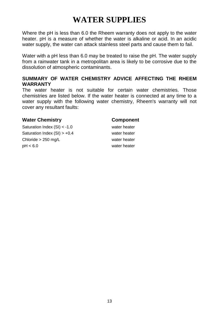## **WATER SUPPLIES**

Where the pH is less than 6.0 the Rheem warranty does not apply to the water heater. pH is a measure of whether the water is alkaline or acid. In an acidic water supply, the water can attack stainless steel parts and cause them to fail.

Water with a pH less than 6.0 may be treated to raise the pH. The water supply from a rainwater tank in a metropolitan area is likely to be corrosive due to the dissolution of atmospheric contaminants.

### <span id="page-12-0"></span>**SUMMARY OF WATER CHEMISTRY ADVICE AFFECTING THE RHEEM WARRANTY**

The water heater is not suitable for certain water chemistries. Those chemistries are listed below. If the water heater is connected at any time to a water supply with the following water chemistry. Rheem's warranty will not cover any resultant faults:

### **Water Chemistry Component**

Saturation Index (SI) < -1.0 water heater Saturation Index (SI) > +0.4 water heater Chloride > 250 mg/L water heater pH < 6.0 water heater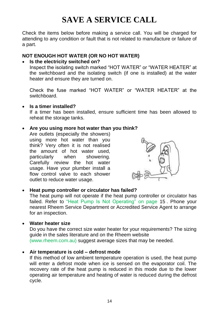## **SAVE A SERVICE CALL**

<span id="page-13-0"></span>Check the items below before making a service call. You will be charged for attending to any condition or fault that is not related to manufacture or failure of a part.

### <span id="page-13-1"></span>**NOT ENOUGH HOT WATER (OR NO HOT WATER)**

#### **Is the electricity switched on?**

Inspect the isolating switch marked "HOT WATER" or "WATER HEATER" at the switchboard and the isolating switch (if one is installed) at the water heater and ensure they are turned on.

Check the fuse marked "HOT WATER" or "WATER HEATER" at the switchboard.

### **Is a timer installed?**

If a timer has been installed, ensure sufficient time has been allowed to reheat the storage tanks.

### **Are you using more hot water than you think?**

Are outlets (especially the showers) using more hot water than you think? Very often it is not realised the amount of hot water used, particularly when showering. Carefully review the hot water usage. Have your plumber install a flow control valve to each shower outlet to reduce water usage.



### **Heat pump controller or circulator has failed?**

The heat pump will not operate if the heat pump controller or circulator has failed. Refer to ["Heat Pump Is Not Operating"](#page-14-0) [on page](#page-14-1) [15](#page-14-1) . Phone your nearest Rheem Service Department or Accredited Service Agent to arrange for an inspection.

### **Water heater size**

Do you have the correct size water heater for your requirements? The sizing guide in the sales literature and on the Rheem website [\(www.rheem.com.au\)](http://www.rheem.com.au/) suggest average sizes that may be needed.

### **Air temperature is cold – defrost mode**

If this method of low ambient temperature operation is used, the heat pump will enter a defrost mode when ice is sensed on the evaporator coil. The recovery rate of the heat pump is reduced in this mode due to the lower operating air temperature and heating of water is reduced during the defrost cycle.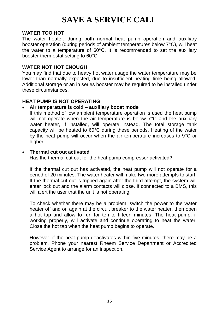## **SAVE A SERVICE CALL**

### **WATER TOO HOT**

The water heater, during both normal heat pump operation and auxiliary booster operation (during periods of ambient temperatures below 7°C), will heat the water to a temperature of 60°C. It is recommended to set the auxiliary booster thermostat setting to 60°C.

### **WATER NOT HOT ENOUGH**

You may find that due to heavy hot water usage the water temperature may be lower than normally expected, due to insufficient heating time being allowed. Additional storage or an in series booster may be required to be installed under these circumstances.

### <span id="page-14-1"></span><span id="page-14-0"></span>**HEAT PUMP IS NOT OPERATING**

### **Air temperature is cold – auxiliary boost mode**

If this method of low ambient temperature operation is used the heat pump will not operate when the air temperature is below 7°C and the auxiliary water heater, if installed, will operate instead. The total storage tank capacity will be heated to 60°C during these periods. Heating of the water by the heat pump will occur when the air temperature increases to 9°C or higher.

### **Thermal cut out activated**

Has the thermal cut out for the heat pump compressor activated?

If the thermal cut out has activated, the heat pump will not operate for a period of 20 minutes. The water heater will make two more attempts to start. If the thermal cut out is tripped again after the third attempt, the system will enter lock out and the alarm contacts will close. If connected to a BMS, this will alert the user that the unit is not operating.

To check whether there may be a problem, switch the power to the water heater off and on again at the circuit breaker to the water heater, then open a hot tap and allow to run for ten to fifteen minutes. The heat pump, if working properly, will activate and continue operating to heat the water. Close the hot tap when the heat pump begins to operate.

However, if the heat pump deactivates within five minutes, there may be a problem. Phone your nearest Rheem Service Department or Accredited Service Agent to arrange for an inspection.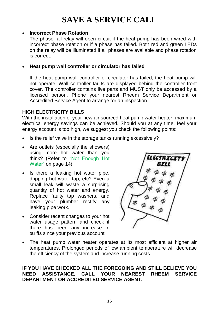## **SAVE A SERVICE CALL**

### **Incorrect Phase Rotation**

The phase fail relay will open circuit if the heat pump has been wired with incorrect phase rotation or if a phase has failed. Both red and green LEDs on the relay will be illuminated if all phases are available and phase rotation is correct.

### **Heat pump wall controller or circulator has failed**

If the heat pump wall controller or circulator has failed, the heat pump will not operate. Wall controller faults are displayed behind the controller front cover. The controller contains live parts and MUST only be accessed by a licensed person. Phone your nearest Rheem Service Department or Accredited Service Agent to arrange for an inspection.

### **HIGH ELECTRICITY BILLS**

With the installation of your new air sourced heat pump water heater, maximum electrical energy savings can be achieved. Should you at any time, feel your energy account is too high, we suggest you check the following points:

- Is the relief valve in the storage tanks running excessively?
- Are outlets (especially the showers) using more hot water than you think? (Refer to ["Not Enough Hot](#page-13-1)  [Water"](#page-13-1) on page [14\)](#page-13-1).
- Is there a leaking hot water pipe, dripping hot water tap, etc? Even a small leak will waste a surprising quantity of hot water and energy. Replace faulty tap washers, and have your plumber rectify any leaking pipe work.
- Consider recent changes to your hot water usage pattern and check if there has been any increase in tariffs since your previous account.



 The heat pump water heater operates at its most efficient at higher air temperatures. Prolonged periods of low ambient temperature will decrease the efficiency of the system and increase running costs.

### <span id="page-15-0"></span>**IF YOU HAVE CHECKED ALL THE FOREGOING AND STILL BELIEVE YOU NEED ASSISTANCE, CALL YOUR NEAREST RHEEM SERVICE DEPARTMENT OR ACCREDITED SERVICE AGENT.**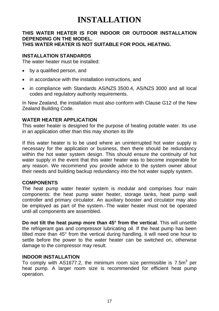### <span id="page-16-0"></span>**THIS WATER HEATER IS FOR INDOOR OR OUTDOOR INSTALLATION DEPENDING ON THE MODEL. THIS WATER HEATER IS NOT SUITABLE FOR POOL HEATING.**

### **INSTALLATION STANDARDS**

The water heater must be installed:

- by a qualified person, and
- in accordance with the installation instructions, and
- in compliance with Standards AS/NZS 3500.4, AS/NZS 3000 and all local codes and regulatory authority requirements.

In New Zealand, the installation must also conform with Clause G12 of the New Zealand Building Code.

### **WATER HEATER APPLICATION**

This water heater is designed for the purpose of heating potable water. Its use in an application other than this may shorten its life

If this water heater is to be used where an uninterrupted hot water supply is necessary for the application or business, then there should be redundancy within the hot water system design. This should ensure the continuity of hot water supply in the event that this water heater was to become inoperable for any reason. We recommend you provide advice to the system owner about their needs and building backup redundancy into the hot water supply system.

### **COMPONENTS**

The heat pump water heater system is modular and comprises four main components: the heat pump water heater, storage tanks, heat pump wall controller and primary circulator. An auxiliary booster and circulator may also be employed as part of the system. The water heater must not be operated until all components are assembled.

**Do not tilt the heat pump more than 45° from the vertical**. This will unsettle the refrigerant gas and compressor lubricating oil. If the heat pump has been tilted more than 45° from the vertical during handling, it will need one hour to settle before the power to the water heater can be switched on, otherwise damage to the compressor may result.

### **INDOOR INSTALLATION**

To comply with AS1677.2, the minimum room size permissible is 7.5 $m<sup>3</sup>$  per heat pump. A larger room size is recommended for efficient heat pump operation.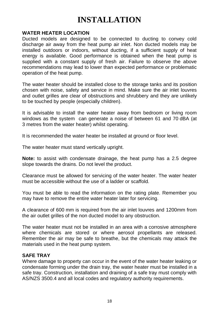### **WATER HEATER LOCATION**

Ducted models are designed to be connected to ducting to convey cold discharge air away from the heat pump air inlet. Non ducted models may be installed outdoors or indoors, without ducting, if a sufficient supply of heat energy is available. Good performance is obtained when the heat pump is supplied with a constant supply of fresh air. Failure to observe the above recommendations may lead to lower than expected performance or problematic operation of the heat pump.

The water heater should be installed close to the storage tanks and its position chosen with noise, safety and service in mind. Make sure the air inlet louvres and outlet grilles are clear of obstructions and shrubbery and they are unlikely to be touched by people (especially children).

It is advisable to install the water heater away from bedroom or living room windows as the system can generate a noise of between 61 and 70 dBA (at 3 metres from the water heater) whilst operating.

It is recommended the water heater be installed at ground or floor level.

The water heater must stand vertically upright.

**Note:** to assist with condensate drainage, the heat pump has a 2.5 degree slope towards the drains. Do not level the product.

Clearance must be allowed for servicing of the water heater. The water heater must be accessible without the use of a ladder or scaffold.

You must be able to read the information on the rating plate. Remember you may have to remove the entire water heater later for servicing.

A clearance of 600 mm is required from the air inlet louvres and 1200mm from the air outlet grilles of the non ducted model to any obstruction.

The water heater must not be installed in an area with a corrosive atmosphere where chemicals are stored or where aerosol propellants are released. Remember the air may be safe to breathe, but the chemicals may attack the materials used in the heat pump system.

### **SAFE TRAY**

Where damage to property can occur in the event of the water heater leaking or condensate forming under the drain tray, the water heater must be installed in a safe tray. Construction, installation and draining of a safe tray must comply with AS/NZS 3500.4 and all local codes and regulatory authority requirements.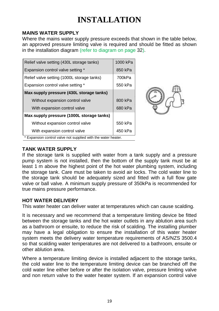### <span id="page-18-0"></span>**MAINS WATER SUPPLY**

Where the mains water supply pressure exceeds that shown in the table below. an approved pressure limiting valve is required and should be fitted as shown in the installation diagram [\(refer to diagram on page](#page-31-2) [32\)](#page-31-2).

| Relief valve setting (430L storage tanks)                     | 1000 kPa |  |
|---------------------------------------------------------------|----------|--|
| Expansion control valve setting *                             | 850 kPa  |  |
| Relief valve setting (1000L storage tanks)                    | 700kPa   |  |
| Expansion control valve setting *                             | 550 kPa  |  |
| Max-supply pressure (430L storage tanks)                      |          |  |
| Without expansion control valve                               | 800 kPa  |  |
| With expansion control valve                                  | 680 kPa  |  |
| Max-supply pressure (1000L storage tanks)                     |          |  |
| Without expansion control valve                               | 550 kPa  |  |
| With expansion control valve                                  | 450 kPa  |  |
| * Expansion control valve not supplied with the water heater. |          |  |

### **TANK WATER SUPPLY**

If the storage tank is supplied with water from a tank supply and a pressure pump system is not installed, then the bottom of the supply tank must be at least 1 m above the highest point of the hot water plumbing system, including the storage tank. Care must be taken to avoid air locks. The cold water line to the storage tank should be adequately sized and fitted with a full flow gate valve or ball valve. A minimum supply pressure of 350kPa is recommended for true mains pressure performance.

### <span id="page-18-1"></span>**HOT WATER DELIVERY**

This water heater can deliver water at temperatures which can cause scalding.

It is necessary and we recommend that a temperature limiting device be fitted between the storage tanks and the hot water outlets in any ablution area such as a bathroom or ensuite, to reduce the risk of scalding. The installing plumber may have a legal obligation to ensure the installation of this water heater system meets the delivery water temperature requirements of AS/NZS 3500.4 so that scalding water temperatures are not delivered to a bathroom, ensuite or other ablution area.

Where a temperature limiting device is installed adjacent to the storage tanks, the cold water line to the temperature limiting device can be branched off the cold water line either before or after the isolation valve, pressure limiting valve and non return valve to the water heater system. If an expansion control valve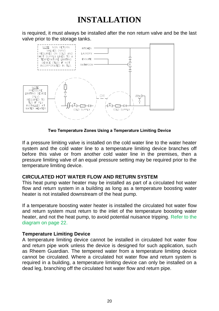is required, it must always be installed after the non return valve and be the last valve prior to the storage tanks.



**Two Temperature Zones Using a Temperature Limiting Device**

before this valve or from another cold water line in the premises, then a If a pressure limiting valve is installed on the cold water line to the water heater system and the cold water line to a temperature limiting device branches off pressure limiting valve of an equal pressure setting may be required prior to the temperature limiting device.

### **CIRCULATED HOT WATER FLOW AND RETURN SYSTEM**

This heat pump water heater may be installed as part of a circulated hot water flow and return system in a building as long as a temperature boosting water heater is not installed downstream of the heat pump.

If a temperature boosting water heater is installed the circulated hot water flow and return system must return to the inlet of the temperature boosting water heater, and not the heat pump, to avoid potential nuisance tripping. [Refer to the](#page-21-1)  [diagram on page](#page-21-1) 22.

### **Temperature Limiting Device**

A temperature limiting device cannot be installed in circulated hot water flow and return pipe work unless the device is designed for such application, such as Rheem Guardian. The tempered water from a temperature limiting device cannot be circulated. Where a circulated hot water flow and return system is required in a building, a temperature limiting device can only be installed on a dead leg, branching off the circulated hot water flow and return pipe.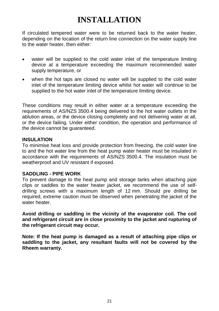If circulated tempered water were to be returned back to the water heater, depending on the location of the return line connection on the water supply line to the water heater, then either:

- water will be supplied to the cold water inlet of the temperature limiting device at a temperature exceeding the maximum recommended water supply temperature, or
- when the hot taps are closed no water will be supplied to the cold water inlet of the temperature limiting device whilst hot water will continue to be supplied to the hot water inlet of the temperature limiting device.

These conditions may result in either water at a temperature exceeding the requirements of AS/NZS 3500.4 being delivered to the hot water outlets in the ablution areas, or the device closing completely and not delivering water at all, or the device failing. Under either condition, the operation and performance of the device cannot be guaranteed.

### **INSULATION**

To minimise heat loss and provide protection from freezing, the cold water line to and the hot water line from the heat pump water heater must be insulated in accordance with the requirements of AS/NZS 3500.4. The insulation must be weatherproof and UV resistant if exposed.

### **SADDLING - PIPE WORK**

To prevent damage to the heat pump and storage tanks when attaching pipe clips or saddles to the water heater jacket, we recommend the use of selfdrilling screws with a maximum length of 12 mm. Should pre drilling be required, extreme caution must be observed when penetrating the jacket of the water heater

**Avoid drilling or saddling in the vicinity of the evaporator coil. The coil and refrigerant circuit are in close proximity to the jacket and rupturing of the refrigerant circuit may occur.**

**Note: If the heat pump is damaged as a result of attaching pipe clips or saddling to the jacket, any resultant faults will not be covered by the Rheem warranty.**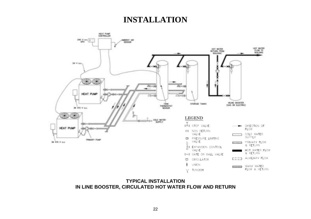

## <span id="page-21-1"></span><span id="page-21-0"></span>**IN LINE BOOSTER, CIRCULATED HOT WATER FLOW AND RETURN**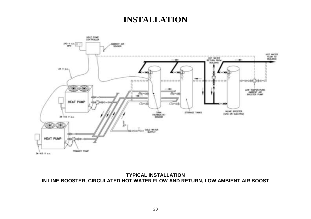

<span id="page-22-1"></span><span id="page-22-0"></span>**TYPICAL INSTALLATION IN LINE BOOSTER, CIRCULATED HOT WATER FLOW AND RETURN, LOW AMBIENT AIR BOOST**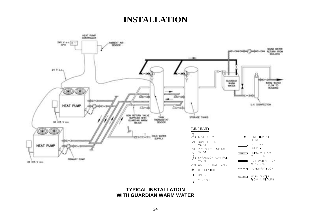

**WITH GUARDIAN WARM WATER**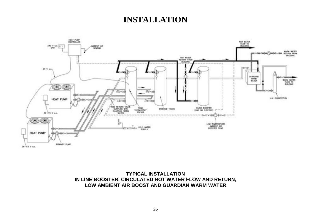

**TYPICAL INSTALLATION IN LINE BOOSTER, CIRCULATED HOT WATER FLOW AND RETURN, LOW AMBIENT AIR BOOST AND GUARDIAN WARM WATER**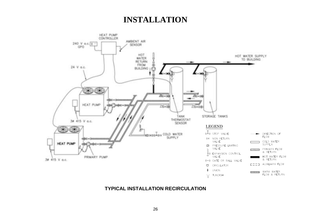

### **TYPICAL INSTALLATION RECIRCULATION**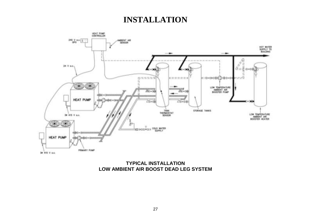

<span id="page-26-0"></span>**TYPICAL INSTALLATION LOW AMBIENT AIR BOOST DEAD LEG SYSTEM**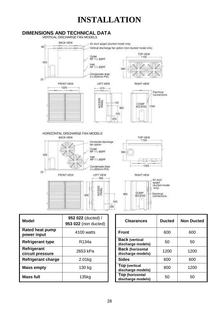<span id="page-27-0"></span>

| Model                           | 952 022 (ducted) /<br>953 022 (non ducted) | <b>Clearances</b>                            | <b>Ducted</b> | Non Du |
|---------------------------------|--------------------------------------------|----------------------------------------------|---------------|--------|
| Rated heat pump<br>power input  | 4100 watts                                 | <b>Front</b>                                 | 600           | 600    |
| <b>Refrigerant type</b>         | R <sub>134a</sub>                          | <b>Back (vertical</b><br>discharge models)   | 50            | 50     |
| Refrigerant<br>circuit pressure | 2653 kPa                                   | <b>Back (horizontal</b><br>discharge models) | 1200          | 1200   |
| Refrigerant charge              | 2.01kg                                     | <b>Sides</b>                                 | 600           | 600    |
| <b>Mass empty</b>               | 130 kg                                     | <b>Top (vertical</b><br>discharge models)    | 800           | 1200   |
| Mass full                       | 135kg                                      | Top (horizontal<br>discharge models)         | 50            | 50     |

| 952 022 (ducted) /<br>953 022 (non ducted) | <b>Clearances</b>                            | <b>Ducted</b> | <b>Non Ducted</b> |
|--------------------------------------------|----------------------------------------------|---------------|-------------------|
| 4100 watts                                 | <b>Front</b>                                 | 600           | 600               |
| R <sub>134a</sub>                          | <b>Back (vertical</b><br>discharge models)   | 50            | 50                |
| 2653 kPa                                   | <b>Back (horizontal</b><br>discharge models) | 1200          | 1200              |
| 2.01kg                                     | <b>Sides</b>                                 | 600           | 600               |
| 130 kg                                     | Top (vertical<br>discharge models)           | 800           | 1200              |
| 135kg                                      | Top (horizontal<br>discharge models)         | 50            | 50                |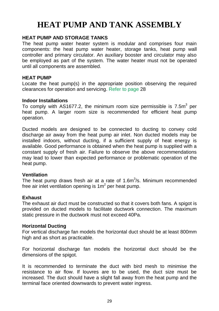## **HEAT PUMP AND TANK ASSEMBLY**

### <span id="page-28-0"></span>**HEAT PUMP AND STORAGE TANKS**

The heat pump water heater system is modular and comprises four main components: the heat pump water heater, storage tanks, heat pump wall controller and primary circulator. An auxiliary booster and circulator may also be employed as part of the system. The water heater must not be operated until all components are assembled.

### **HEAT PUMP**

Locate the heat pump(s) in the appropriate position observing the required clearances for operation and servicing. [Refer to page](#page-27-0) [28](#page-27-0)

### **Indoor Installations**

To comply with AS1677.2, the minimum room size permissible is 7.5m $^3$  per heat pump. A larger room size is recommended for efficient heat pump operation.

Ducted models are designed to be connected to ducting to convey cold discharge air away from the heat pump air inlet. Non ducted models may be installed indoors, without ducting, if a sufficient supply of heat energy is available. Good performance is obtained when the heat pump is supplied with a constant supply of fresh air. Failure to observe the above recommendations may lead to lower than expected performance or problematic operation of the heat pump.

### **Ventilation**

The heat pump draws fresh air at a rate of 1.6 $m<sup>3</sup>/s$ . Minimum recommended free air inlet ventilation opening is 1m<sup>2</sup> per heat pump.

### **Exhaust**

The exhaust air duct must be constructed so that it covers both fans. A spigot is provided on ducted models to facilitate ductwork connection. The maximum static pressure in the ductwork must not exceed 40Pa.

### **Horizontal Ducting**

For vertical discharge fan models the horizontal duct should be at least 800mm high and as short as practicable.

For horizontal discharge fan models the horizontal duct should be the dimensions of the spigot.

It is recommended to terminate the duct with bird mesh to minimise the resistance to air flow. If louvres are to be used, the duct size must be increased. The duct should have a slight fall away from the heat pump and the terminal face oriented downwards to prevent water ingress.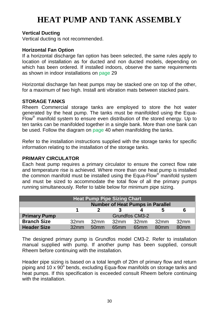## **HEAT PUMP AND TANK ASSEMBLY**

### **Vertical Ducting**

Vertical ducting is not recommended.

### **Horizontal Fan Option**

If a horizontal discharge fan option has been selected, the same rules apply to location of installation as for ducted and non ducted models, depending on which has been ordered. If installed indoors, observe the same requirements as shown in indoor installations on [page](#page-27-0) [29](#page-27-0)

Horizontal discharge fan heat pumps may be stacked one on top of the other, for a maximum of two high. Install anti vibration mats between stacked pairs.

### **STORAGE TANKS**

Rheem Commercial storage tanks are employed to store the hot water generated by the heat pump. The tanks must be manifolded using the Equa-Flow® manifold system to ensure even distribution of the stored energy. Up to ten tanks can be manifolded together in a single bank. More than one bank can be used. Follow the diagram o[n page](#page-38-0) [40](#page-39-0) when manifolding the tanks.

Refer to the installation instructions supplied with the storage tanks for specific information relating to the installation of the storage tanks.

### **PRIMARY CIRCULATOR**

Each heat pump requires a primary circulator to ensure the correct flow rate and temperature rise is achieved. Where more than one heat pump is installed the common manifold must be installed using the Equa-Flow® manifold system and must be sized to accommodate the total flow of all the primary pumps running simultaneously. Refer to table below for minimum pipe sizing.

<span id="page-29-0"></span>

|                     |                  |                  | <b>Heat Pump Pipe Sizing Chart</b> |                                         |                  |                  |
|---------------------|------------------|------------------|------------------------------------|-----------------------------------------|------------------|------------------|
|                     |                  |                  |                                    | <b>Number of Heat Pumps in Parallel</b> |                  |                  |
|                     |                  |                  |                                    |                                         |                  | 6                |
| <b>Primary Pump</b> |                  |                  |                                    | Grundfos CM3-2                          |                  |                  |
| <b>Branch Size</b>  | 32 <sub>mm</sub> | 32 <sub>mm</sub> | 32 <sub>mm</sub>                   | 32 <sub>mm</sub>                        | 32 <sub>mm</sub> | 32 <sub>mm</sub> |
| <b>Header Size</b>  | 32 <sub>mm</sub> | 50 <sub>mm</sub> | 65 <sub>mm</sub>                   | 65 <sub>mm</sub>                        | 80 <sub>mm</sub> | 80 <sub>mm</sub> |

The designed primary pump is Grundfos model CM3-2. Refer to installation manual supplied with pump. If another pump has been supplied, consult Rheem before continuing with the installation.

Header pipe sizing is based on a total length of 20m of primary flow and return piping and 10 x 90 $^{\circ}$  bends, excluding Equa-flow manifolds on storage tanks and heat pumps. If this specification is exceeded consult Rheem before continuing with the installation.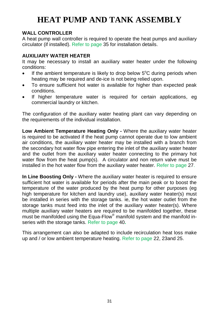## **HEAT PUMP AND TANK ASSEMBLY**

### **WALL CONTROLLER**

A heat pump wall controller is required to operate the heat pumps and auxiliary circulator (if installed). [Refer to page 35](#page-33-1) for installation details.

### **AUXILIARY WATER HEATER**

It may be necessary to install an auxiliary water heater under the following conditions:

- $\bullet$  If the ambient temperature is likely to drop below  $5^{\circ}$ C during periods when heating may be required and de-ice is not being relied upon.
- To ensure sufficient hot water is available for higher than expected peak conditions.
- If higher temperature water is required for certain applications, eg commercial laundry or kitchen.

The configuration of the auxiliary water heating plant can vary depending on the requirements of the individual installation.

**Low Ambient Temperature Heating Only -** Where the auxiliary water heater is required to be activated if the heat pump cannot operate due to low ambient air conditions, the auxiliary water heater may be installed with a branch from the secondary hot water flow pipe entering the inlet of the auxiliary water heater and the outlet from the auxiliary water heater connecting to the primary hot water flow from the heat pump(s). A circulator and non return valve must be installed in the hot water flow from the auxiliary water heater. [Refer to page](#page-26-0) [27.](#page-26-0)

**In Line Boosting Only -** Where the auxiliary water heater is required to ensure sufficient hot water is available for periods after the main peak or to boost the temperature of the water produced by the heat pump for other purposes (eg high temperature for kitchen and laundry use), auxiliary water heater(s) must be installed in series with the storage tanks. ie, the hot water outlet from the storage tanks must feed into the inlet of the auxiliary water heater(s). Where multiple auxiliary water heaters are required to be manifolded together, these must be manifolded using the Equa-Flow® manifold system and the manifold inseries with the storage tanks. [Refer to page](#page-21-1) [40](#page-21-1)**.**

This arrangement can also be adapted to include recirculation heat loss make up and / or low ambient temperature heating. Re[fer to page](#page-22-0) 22, [23an](#page-22-0)[d 25](#page-22-1).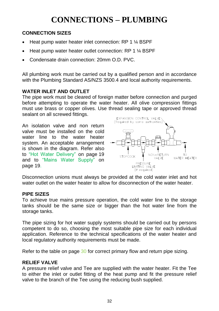## **CONNECTIONS – PLUMBING**

### <span id="page-31-0"></span>**CONNECTION SIZES**

- Heat pump water heater inlet connection: RP 1 ¼ BSPF
- Heat pump water heater outlet connection: RP 1 ¼ BSPF
- Condensate drain connection: 20mm O.D. PVC.

All plumbing work must be carried out by a qualified person and in accordance with the Plumbing Standard AS/NZS 3500.4 and local authority requirements.

### <span id="page-31-1"></span>**WATER INLET AND OUTLET**

The pipe work must be cleared of foreign matter before connection and purged before attempting to operate the water heater. All olive compression fittings<br>must use brass or copper olives. Use thread sealing tape or approved thread must use brass or copper olives. Use thread sealing tape or approved thread sealant on all screwed fittings.

<span id="page-31-2"></span>An isolation valve and non return valve must be installed on the cold water line to the water heater system. An acceptable arrangement is shown in the diagram. Refer also to ["Hot Water Delivery"](#page-18-1) on page [19](#page-18-1) and to ["Mains Water Supply"](#page-18-0) on page [19.](#page-18-0)



Disconnection unions must always be provided at the cold water inlet and hot water outlet on the water heater to allow for disconnection of the water heater.

### **PIPE SIZES**

To achieve true mains pressure operation, the cold water line to the storage tanks should be the same size or bigger than the hot water line from the storage tanks.

The pipe sizing for hot water supply systems should be carried out by persons competent to do so, choosing the most suitable pipe size for each individual application. Reference to the technical specifications of the water heater and local regulatory authority requirements must be made.

Refer to the table on page [30](#page-29-0) for correct primary flow and return pipe sizing.

### **RELIEF VALVE**

A pressure relief valve and Tee are supplied with the water heater. Fit the Tee to either the inlet or outlet fitting of the heat pump and fit the pressure relief valve to the branch of the Tee using the reducing bush supplied.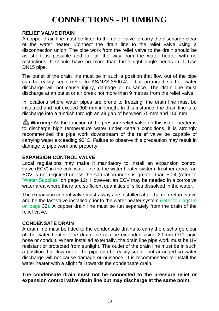## **CONNECTIONS - PLUMBING**

### **RELIEF VALVE DRAIN**

A copper drain line must be fitted to the relief valve to carry the discharge clear of the water heater. Connect the drain line to the relief valve using a disconnection union. The pipe work from the relief valve to the drain should be as short as possible and fall all the way from the water heater with no restrictions. It should have no more than three right angle bends in it. Use DN15 pipe.

The outlet of the drain line must be in such a position that flow out of the pipe can be easily seen (refer to AS/NZS 3500.4) - but arranged so hot water discharge will not cause injury, damage or nuisance. The drain line must discharge at an outlet or air break not more than 9 metres from the relief valve.

In locations where water pipes are prone to freezing, the drain line must be insulated and not exceed 300 mm in length. In this instance, the drain line is to discharge into a tundish through an air gap of between 75 mm and 150 mm.

**Warning:** As the function of the pressure relief valve on this water heater is to discharge high temperature water under certain conditions, it is strongly recommended the pipe work downstream of the relief valve be capable of carrying water exceeding 93C. Failure to observe this precaution may result in damage to pipe work and property.

### **EXPANSION CONTROL VALVE**

Local regulations may make it mandatory to install an expansion control valve (ECV) in the cold water line to the water heater system. In other areas, an ECV is not required unless the saturation index is greater than +0.4 (refer to ["Water Supplies"](#page-11-1) on page [12\)](#page-11-1). However, an ECV may be needed in a corrosive water area where there are sufficient quantities of silica dissolved in the water.

The expansion control valve must always be installed after the non return valve and be the last valve installed prior to the water heater syste[m \(refer to diagram](#page-31-2)  [on page](#page-31-2) [32\)](#page-31-2). A copper drain line must be run separately from the drain of the relief valve.

### **CONDENSATE DRAIN**

A drain line must be fitted to the condensate drains to carry the discharge clear of the water heater. The drain line can be extended using 20 mm O.D. rigid hose or conduit. Where installed externally, the drain line pipe work must be UV resistant or protected from sunlight. The outlet of the drain line must be in such a position that flow out of the pipe can be easily seen - but arranged so water discharge will not cause damage or nuisance. It is recommended to install the water heater with a slight fall towards the condensate drain.

**The condensate drain must not be connected to the pressure relief or expansion control valve drain line but may discharge at the same point.**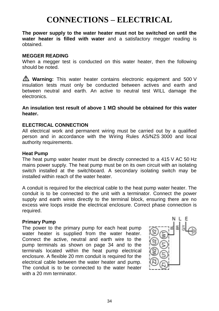<span id="page-33-0"></span>**The power supply to the water heater must not be switched on until the water heater is filled with water** and a satisfactory megger reading is obtained.

### **MEGGER READING**

When a megger test is conducted on this water heater, then the following should be noted.

**Warning:** This water heater contains electronic equipment and 500 V insulation tests must only be conducted between actives and earth and between neutral and earth. An active to neutral test WILL damage the electronics.

#### **An insulation test result of above 1 MΩ should be obtained for this water heater.**

### **ELECTRICAL CONNECTION**

All electrical work and permanent wiring must be carried out by a qualified person and in accordance with the Wiring Rules AS/NZS 3000 and local authority requirements.

#### **Heat Pump**

The heat pump water heater must be directly connected to a 415 V AC 50 Hz mains power supply. The heat pump must be on its own circuit with an isolating switch installed at the switchboard. A secondary isolating switch may be installed within reach of the water heater.

A conduit is required for the electrical cable to the heat pump water heater. The conduit is to be connected to the unit with a terminator. Connect the power supply and earth wires directly to the terminal block, ensuring there are no excess wire loops inside the electrical enclosure. Correct phase connection is required.

#### **Primary Pump**

<span id="page-33-1"></span>The power to the primary pump for each heat pump water heater is supplied from the water heater. Connect the active, neutral and earth wire to the pump terminals as shown on page 34 and to the terminals located within the heat pump electrical enclosure. A flexible 20 mm conduit is required for the electrical cable between the water heater and pump. The conduit is to be connected to the water heater with a 20 mm terminator.

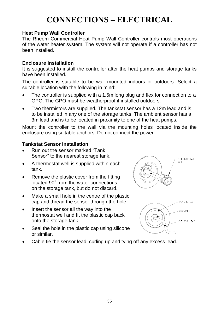### **Heat Pump Wall Controller**

The Rheem Commercial Heat Pump Wall Controller controls most operations of the water heater system. The system will not operate if a controller has not been installed.

### **Enclosure Installation**

It is suggested to install the controller after the heat pumps and storage tanks have been installed.

The controller is suitable to be wall mounted indoors or outdoors. Select a suitable location with the following in mind:

- The controller is supplied with a 1.5m long plug and flex for connection to a GPO. The GPO must be weatherproof if installed outdoors.
- Two thermistors are supplied. The tankstat sensor has a 12m lead and is to be installed in any one of the storage tanks. The ambient sensor has a 3m lead and is to be located in proximity to one of the heat pumps.

Mount the controller to the wall via the mounting holes located inside the enclosure using suitable anchors. Do not connect the power.

### **Tankstat Sensor Installation**

- Run out the sensor marked "Tank Sensor" to the nearest storage tank.
- A thermostat well is supplied within each tank.
- Remove the plastic cover from the fitting located 90° from the water connections on the storage tank, but do not discard.
- Make a small hole in the centre of the plastic cap and thread the sensor through the hole.
- Insert the sensor all the way into the thermostat well and fit the plastic cap back onto the storage tank.
- Seal the hole in the plastic cap using silicone or similar.
- Cable tie the sensor lead, curling up and tying off any excess lead.

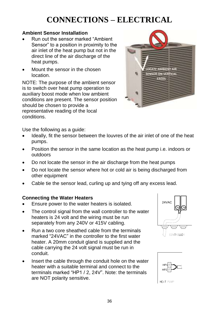### **Ambient Sensor Installation**

- Run out the sensor marked "Ambient Sensor" to a position in proximity to the air inlet of the heat pump but not in the direct line of the air discharge of the heat pumps.
- Mount the sensor in the chosen location.

NOTE: The purpose of the ambient sensor is to switch over heat pump operation to auxiliary boost mode when low ambient conditions are present. The sensor position should be chosen to provide a representative reading of the local conditions.



Use the following as a guide:

- Ideally, fit the sensor between the louvres of the air inlet of one of the heat pumps.
- Position the sensor in the same location as the heat pump i.e. indoors or outdoors
- Do not locate the sensor in the air discharge from the heat pumps
- Do not locate the sensor where hot or cold air is being discharged from other equipment
- Cable tie the sensor lead, curling up and tying off any excess lead.

### **Connecting the Water Heaters**

- Ensure power to the water heaters is isolated.
- The control signal from the wall controller to the water heaters is 24 volt and the wiring must be run separately from any 240V or 415V cabling.
- Run a two core sheathed cable from the terminals marked "24VAC" in the controller to the first water heater. A 20mm conduit gland is supplied and the cable carrying the 24 volt signal must be run in conduit.
- Insert the cable through the conduit hole on the water heater with a suitable terminal and connect to the terminals marked "HP1 / 2, 24V". Note: the terminals are NOT polarity sensitive.





HEAT PUMP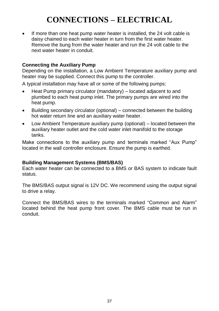If more than one heat pump water heater is installed, the 24 volt cable is daisy chained to each water heater in turn from the first water heater. Remove the bung from the water heater and run the 24 volt cable to the next water heater in conduit.

### **Connecting the Auxiliary Pump**

Depending on the installation, a Low Ambient Temperature auxiliary pump and heater may be supplied. Connect this pump to the controller.

A typical installation may have all or some of the following pumps:

- Heat Pump primary circulator (mandatory) located adjacent to and plumbed to each heat pump inlet. The primary pumps are wired into the heat pump.
- Building secondary circulator (optional) connected between the building hot water return line and an auxiliary water heater.
- Low Ambient Temperature auxiliary pump (optional) located between the auxiliary heater outlet and the cold water inlet manifold to the storage tanks.

Make connections to the auxiliary pump and terminals marked "Aux Pump" located in the wall controller enclosure. Ensure the pump is earthed.

### **Building Management Systems (BMS/BAS)**

Each water heater can be connected to a BMS or BAS system to indicate fault status.

The BMS/BAS output signal is 12V DC. We recommend using the output signal to drive a relay.

Connect the BMS/BAS wires to the terminals marked "Common and Alarm" located behind the heat pump front cover. The BMS cable must be run in conduit.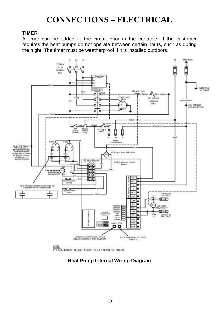### **TIMER**

A timer can be added to the circuit prior to the controller if the customer requires the heat pumps do not operate between certain hours, such as during the night. The timer must be weatherproof if it is installed outdoors.



### **Heat Pump Internal Wiring Diagram**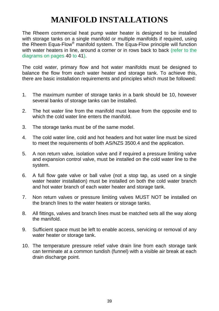## **MANIFOLD INSTALLATIONS**

<span id="page-38-0"></span>The Rheem commercial heat pump water heater is designed to be installed with storage tanks on a single manifold or multiple manifolds if required, using the Rheem Equa-Flow<sup>®</sup> manifold system. The Equa-Flow principle will function with water heaters in line, around a corner or in rows back to back [\(refer to the](#page-39-0)  [diagrams on pages](#page-39-0) [40](#page-39-0) to [41\)](#page-39-0).

The cold water, primary flow and hot water manifolds must be designed to balance the flow from each water heater and storage tank. To achieve this, there are basic installation requirements and principles which must be followed:

- 1. The maximum number of storage tanks in a bank should be 10, however several banks of storage tanks can be installed.
- 2. The hot water line from the manifold must leave from the opposite end to which the cold water line enters the manifold.
- 3. The storage tanks must be of the same model.
- 4. The cold water line, cold and hot headers and hot water line must be sized to meet the requirements of both AS/NZS 3500.4 and the application.
- 5. A non return valve, isolation valve and if required a pressure limiting valve and expansion control valve, must be installed on the cold water line to the system.
- 6. A full flow gate valve or ball valve (not a stop tap, as used on a single water heater installation) must be installed on both the cold water branch and hot water branch of each water heater and storage tank.
- 7. Non return valves or pressure limiting valves MUST NOT be installed on the branch lines to the water heaters or storage tanks.
- 8. All fittings, valves and branch lines must be matched sets all the way along the manifold.
- 9. Sufficient space must be left to enable access, servicing or removal of any water heater or storage tank.
- 10. The temperature pressure relief valve drain line from each storage tank can terminate at a common tundish (funnel) with a visible air break at each drain discharge point.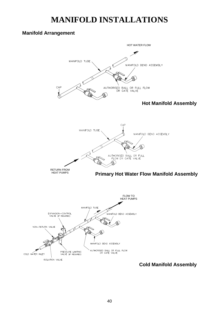## **MANIFOLD INSTALLATIONS**

### <span id="page-39-0"></span>**Manifold Arrangement**



**Cold Manifold Assembly**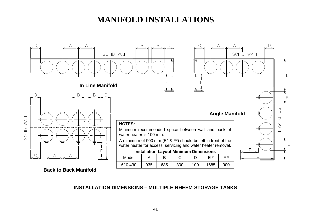## **MANIFOLD INSTALLATIONS**



### **INSTALLATION DIMENSIONS – MULTIPLE RHEEM STORAGE TANKS** *MOTALLATION DIMENSION*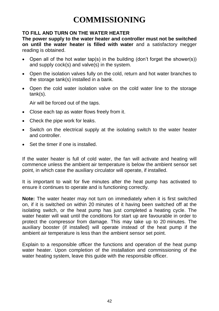## **COMMISSIONING**

### <span id="page-41-0"></span>**TO FILL AND TURN ON THE WATER HEATER**

**The power supply to the water heater and controller must not be switched on until the water heater is filled with water** and a satisfactory megger reading is obtained.

- Open all of the hot water tap(s) in the building (don't forget the shower(s)) and supply cock(s) and valve(s) in the system.
- Open the isolation valves fully on the cold, return and hot water branches to the storage tank(s) installed in a bank.
- Open the cold water isolation valve on the cold water line to the storage tank(s).

Air will be forced out of the taps.

- Close each tap as water flows freely from it.
- Check the pipe work for leaks.
- Switch on the electrical supply at the isolating switch to the water heater and controller.
- Set the timer if one is installed.

If the water heater is full of cold water, the fan will activate and heating will commence unless the ambient air temperature is below the ambient sensor set point, in which case the auxiliary circulator will operate, if installed.

It is important to wait for five minutes after the heat pump has activated to ensure it continues to operate and is functioning correctly.

**Note:** The water heater may not turn on immediately when it is first switched on, if it is switched on within 20 minutes of it having been switched off at the isolating switch, or the heat pump has just completed a heating cycle. The water heater will wait until the conditions for start up are favourable in order to protect the compressor from damage. This may take up to 20 minutes. The auxiliary booster (if installed) will operate instead of the heat pump if the ambient air temperature is less than the ambient sensor set point.

Explain to a responsible officer the functions and operation of the heat pump water heater. Upon completion of the installation and commissioning of the water heating system, leave this guide with the responsible officer.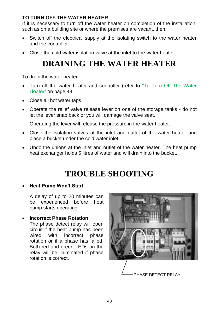### <span id="page-42-1"></span>**TO TURN OFF THE WATER HEATER**

If it is necessary to turn off the water heater on completion of the installation, such as on a building site or where the premises are vacant, then:

- Switch off the electrical supply at the isolating switch to the water heater and the controller.
- <span id="page-42-0"></span>Close the cold water isolation valve at the inlet to the water heater.

## **DRAINING THE WATER HEATER**

To drain the water heater:

- Turn off the water heater and controller (refer to "To Turn Off The Water [Heater"](#page-42-1) on page [43](#page-42-1)
- Close all hot water taps.
- Operate the relief valve release lever on one of the storage tanks do not let the lever snap back or you will damage the valve seat.

Operating the lever will release the pressure in the water heater.

- Close the isolation valves at the inlet and outlet of the water heater and place a bucket under the cold water inlet.
- Undo the unions at the inlet and outlet of the water heater. The heat pump heat exchanger holds 5 litres of water and will drain into the bucket.

## **TROUBLE SHOOTING**

### **Heat Pump Won't Start**

A delay of up to 20 minutes can be experienced before heat pump starts operating

**Incorrect Phase Rotation**

The phase detect relay will open circuit if the heat pump has been wired with incorrect phase rotation or if a phase has failed. Both red and green LEDs on the relay will be illuminated if phase rotation is correct.

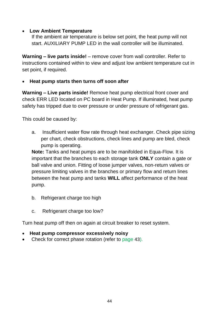### **Low Ambient Temperature**

If the ambient air temperature is below set point, the heat pump will not start. AUXILIARY PUMP LED in the wall controller will be illuminated.

**Warning – live parts inside!** – remove cover from wall controller. Refer to instructions contained within to view and adjust low ambient temperature cut in set point, if required.

### **Heat pump starts then turns off soon after**

**Warning – Live parts inside!** Remove heat pump electrical front cover and check ERR LED located on PC board in Heat Pump. If illuminated, heat pump safety has tripped due to over pressure or under pressure of refrigerant gas.

This could be caused by:

a. Insufficient water flow rate through heat exchanger. Check pipe sizing per chart, check obstructions, check lines and pump are bled, check pump is operating.

**Note:** Tanks and heat pumps are to be manifolded in Equa-Flow. It is important that the branches to each storage tank **ONLY** contain a gate or ball valve and union. Fitting of loose jumper valves, non-return valves or pressure limiting valves in the branches or primary flow and return lines between the heat pump and tanks **WILL** affect performance of the heat pump.

- b. Refrigerant charge too high
- c. Refrigerant charge too low?

Turn heat pump off then on again at circuit breaker to reset system.

- **Heat pump compressor excessively noisy**
- Check for correct phase rotation (refer to [page](#page-42-0) [43](#page-42-0)).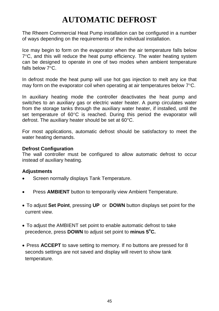## **AUTOMATIC DEFROST**

<span id="page-44-0"></span>The Rheem Commercial Heat Pump installation can be configured in a number of ways depending on the requirements of the individual installation.

Ice may begin to form on the evaporator when the air temperature falls below  $7^{\circ}$ C, and this will reduce the heat pump efficiency. The water heating system can be designed to operate in one of two modes when ambient temperature falls below  $7^{\circ}$ C.

In defrost mode the heat pump will use hot gas injection to melt any ice that may form on the evaporator coil when operating at air temperatures below  $7^{\circ}$ C.

In auxiliary heating mode the controller deactivates the heat pump and switches to an auxiliary gas or electric water heater. A pump circulates water from the storage tanks through the auxiliary water heater, if installed, until the set temperature of  $60^{\circ}$ C is reached. During this period the evaporator will defrost. The auxiliary heater should be set at 60°C.

For most applications, automatic defrost should be satisfactory to meet the water heating demands.

### <span id="page-44-1"></span>**Defrost Configuration**

The wall controller must be configured to allow automatic defrost to occur instead of auxiliary heating.

### **Adjustments**

- Screen normally displays Tank Temperature.
- Press **AMBIENT** button to temporarily view Ambient Temperature.
- To adjust **Set Point**, pressing **UP** or **DOWN** button displays set point for the current view.
- To adjust the AMBIENT set point to enable automatic defrost to take precedence, press **DOWN** to adjust set point to **minus 5<sup>o</sup>C.**
- Press **ACCEPT** to save setting to memory. If no buttons are pressed for 8 seconds settings are not saved and display will revert to show tank temperature.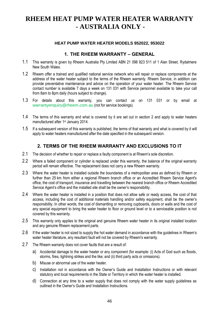### <span id="page-45-0"></span>**RHEEM HEAT PUMP WATER HEATER WARRANTY - AUSTRALIA ONLY -**

#### **HEAT PUMP WATER HEATER MODELS 952022, 953022**

#### **1. THE RHEEM WARRANTY – GENERAL**

- 1.1 This warranty is given by Rheem Australia Pty Limited ABN 21 098 823 511 of 1 Alan Street, Rydalmere New South Wales.
- 1.2 Rheem offer a trained and qualified national service network who will repair or replace components at the address of the water heater subject to the terms of the Rheem warranty. Rheem Service, in addition can provide preventative maintenance and advice on the operation of your water heater. The Rheem Service contact number is available 7 days a week on 131 031 with Service personnel available to take your call from 8am to 8pm daily (hours subject to change).
- 1.3 For details about this warranty, you can contact us on 131 031 or by email at [warrantyenquiry@rheem.com.au](mailto:warrantyenquiry@rheem.com.au) (not for service bookings).
- 1.4 The terms of this warranty and what is covered by it are set out in section 2 and apply to water heaters manufactured after 1<sup>st</sup> January 2014.
- 1.5 If a subsequent version of this warranty is published, the terms of that warranty and what is covered by it will apply to water heaters manufactured after the date specified in the subsequent version.

### **2. TERMS OF THE RHEEM WARRANTY AND EXCLUSIONS TO IT**

- 2.1 The decision of whether to repair or replace a faulty component is at Rheem's sole discretion.
- 2.2 Where a failed component or cylinder is replaced under this warranty, the balance of the original warranty period will remain effective. The replacement does not carry a new Rheem warranty.
- 2.3 Where the water heater is installed outside the boundaries of a metropolitan area as defined by Rheem or further than 25 km from either a regional Rheem branch office or an Accredited Rheem Service Agent's office, the cost of transport, insurance and travelling between the nearest branch office or Rheem Accredited Service Agent's office and the installed site shall be the owner's responsibility.
- 2.4 Where the water heater is installed in a position that does not allow safe or ready access, the cost of that access, including the cost of additional materials handling and/or safety equipment, shall be the owner's responsibility. In other words, the cost of dismantling or removing cupboards, doors or walls and the cost of any special equipment to bring the water heater to floor or ground level or to a serviceable position is not covered by this warranty.
- 2.5 This warranty only applies to the original and genuine Rheem water heater in its original installed location and any genuine Rheem replacement parts.
- 2.6 If the water heater is not sized to supply the hot water demand in accordance with the guidelines in Rheem's water heater literature, any resultant fault will not be covered by Rheem's warranty.
- 2.7 The Rheem warranty does not cover faults that are a result of:
	- a) Accidental damage to the water heater or any component (for example: (i) Acts of God such as floods, storms, fires, lightning strikes and the like; and (ii) third party acts or omissions).
	- b) Misuse or abnormal use of the water heater.
	- c) Installation not in accordance with the Owner's Guide and Installation Instructions or with relevant statutory and local requirements in the State or Territory in which the water heater is installed.
	- d) Connection at any time to a water supply that does not comply with the water supply guidelines as outlined in the Owner's Guide and Installation Instructions.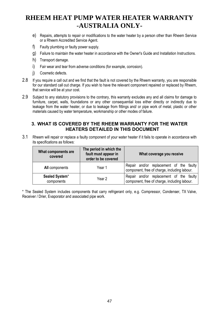### **RHEEM HEAT PUMP WATER HEATER WARRANTY -AUSTRALIA ONLY-**

- e) Repairs, attempts to repair or modifications to the water heater by a person other than Rheem Service or a Rheem Accredited Service Agent.
- f) Faulty plumbing or faulty power supply.
- g) Failure to maintain the water heater in accordance with the Owner's Guide and Installation Instructions.
- h) Transport damage.
- i) Fair wear and tear from adverse conditions (for example, corrosion).
- i) Cosmetic defects.
- 2.8 If you require a call out and we find that the fault is not covered by the Rheem warranty, you are responsible for our standard call out charge. If you wish to have the relevant component repaired or replaced by Rheem, that service will be at your cost.
- 2.9 Subject to any statutory provisions to the contrary, this warranty excludes any and all claims for damage to furniture, carpet, walls, foundations or any other consequential loss either directly or indirectly due to leakage from the water heater, or due to leakage from fittings and/ or pipe work of metal, plastic or other materials caused by water temperature, workmanship or other modes of failure.

### **3. WHAT IS COVERED BY THE RHEEM WARRANTY FOR THE WATER HEATERS DETAILED IN THIS DOCUMENT**

3.1 Rheem will repair or replace a faulty component of your water heater if it fails to operate in accordance with its specifications as follows:

| What components are<br>covered | The period in which the<br>fault must appear in<br>order to be covered | What coverage you receive                                                               |
|--------------------------------|------------------------------------------------------------------------|-----------------------------------------------------------------------------------------|
| All components                 | Year 1                                                                 | Repair and/or replacement of the faulty<br>component, free of charge, including labour. |
| Sealed System*<br>components   | Year 2                                                                 | Repair and/or replacement of the faulty<br>component, free of charge, including labour. |

\* The Sealed System includes components that carry refrigerant only, e.g. Compressor, Condenser, TX Valve, Receiver / Drier, Evaporator and associated pipe work.